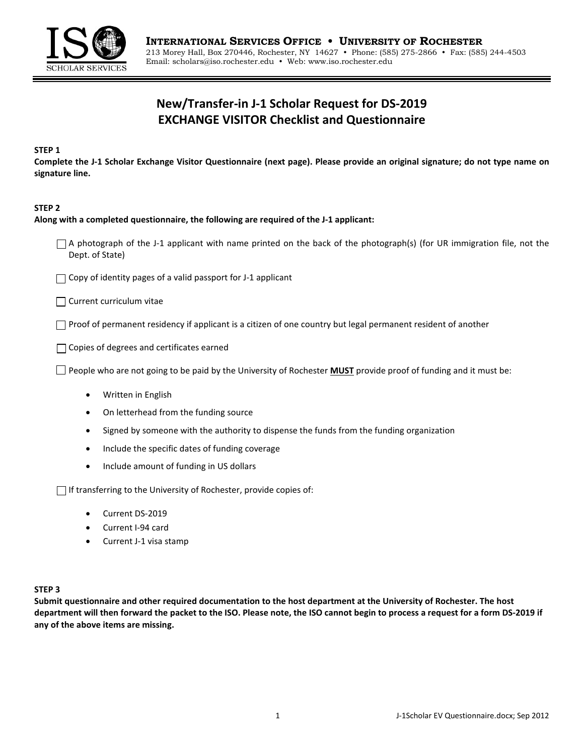

# **New/Transfer-in J-1 Scholar Request for DS-2019 EXCHANGE VISITOR Checklist and Questionnaire**

#### **STEP 1**

**Complete the J-1 Scholar Exchange Visitor Questionnaire (next page). Please provide an original signature; do not type name on signature line.**

#### **STEP 2**

#### **Along with a completed questionnaire, the following are required of the J-1 applicant:**

- $\Box$  A photograph of the J-1 applicant with name printed on the back of the photograph(s) (for UR immigration file, not the Dept. of State)
- $\Box$  Copy of identity pages of a valid passport for J-1 applicant

Current curriculum vitae

 $\Box$  Proof of permanent residency if applicant is a citizen of one country but legal permanent resident of another

Copies of degrees and certificates earned

People who are not going to be paid by the University of Rochester **MUST** provide proof of funding and it must be:

- Written in English
- On letterhead from the funding source
- Signed by someone with the authority to dispense the funds from the funding organization
- Include the specific dates of funding coverage
- Include amount of funding in US dollars

 $\Box$  If transferring to the University of Rochester, provide copies of:

- Current DS-2019
- Current I-94 card
- Current J-1 visa stamp

#### **STEP 3**

**Submit questionnaire and other required documentation to the host department at the University of Rochester. The host department will then forward the packet to the ISO. Please note, the ISO cannot begin to process a request for a form DS-2019 if any of the above items are missing.**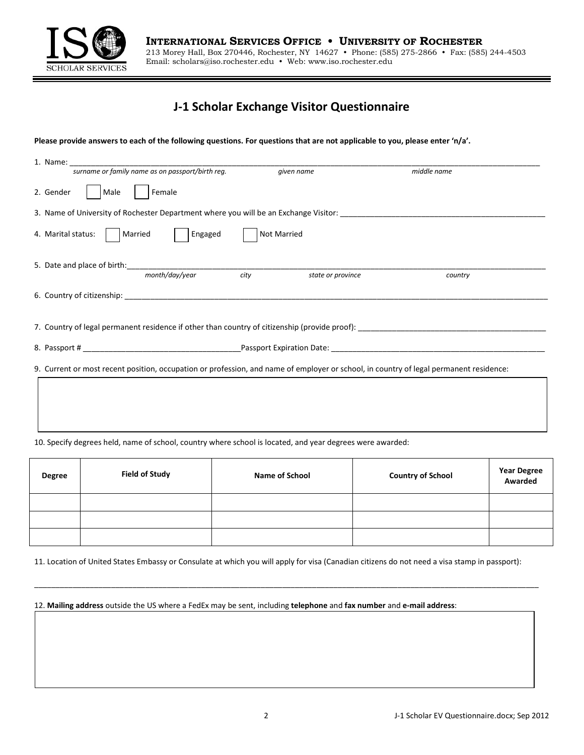

## **J-1 Scholar Exchange Visitor Questionnaire**

**Please provide answers to each of the following questions. For questions that are not applicable to you, please enter 'n/a'.** 

| 1. Name:                                                                                                                               |                           |             |
|----------------------------------------------------------------------------------------------------------------------------------------|---------------------------|-------------|
| surname or family name as on passport/birth reg.                                                                                       | given name                | middle name |
| Female<br>2. Gender<br>Male                                                                                                            |                           |             |
| 3. Name of University of Rochester Department where you will be an Exchange Visitor: _________________________________                 |                           |             |
| Married<br>4. Marital status:<br>Engaged                                                                                               | Not Married               |             |
| month/day/year                                                                                                                         | city<br>state or province | country     |
|                                                                                                                                        |                           |             |
|                                                                                                                                        |                           |             |
|                                                                                                                                        |                           |             |
| 9. Current or most recent position, occupation or profession, and name of employer or school, in country of legal permanent residence: |                           |             |
|                                                                                                                                        |                           |             |
|                                                                                                                                        |                           |             |
|                                                                                                                                        |                           |             |

#### 10. Specify degrees held, name of school, country where school is located, and year degrees were awarded:

| <b>Degree</b> | <b>Field of Study</b> | Name of School | <b>Country of School</b> | <b>Year Degree<br/>Awarded</b> |
|---------------|-----------------------|----------------|--------------------------|--------------------------------|
|               |                       |                |                          |                                |
|               |                       |                |                          |                                |
|               |                       |                |                          |                                |

11. Location of United States Embassy or Consulate at which you will apply for visa (Canadian citizens do not need a visa stamp in passport):

 $\mathcal{L} = \{ \mathcal{L} = \{ \mathcal{L} = \{ \mathcal{L} = \{ \mathcal{L} = \{ \mathcal{L} = \{ \mathcal{L} = \{ \mathcal{L} = \{ \mathcal{L} = \{ \mathcal{L} = \{ \mathcal{L} = \{ \mathcal{L} = \{ \mathcal{L} = \{ \mathcal{L} = \{ \mathcal{L} = \{ \mathcal{L} = \{ \mathcal{L} = \{ \mathcal{L} = \{ \mathcal{L} = \{ \mathcal{L} = \{ \mathcal{L} = \{ \mathcal{L} = \{ \mathcal{L} = \{ \mathcal{L} = \{ \mathcal{$ 

12. **Mailing address** outside the US where a FedEx may be sent, including **telephone** and **fax number** and **e-mail address**: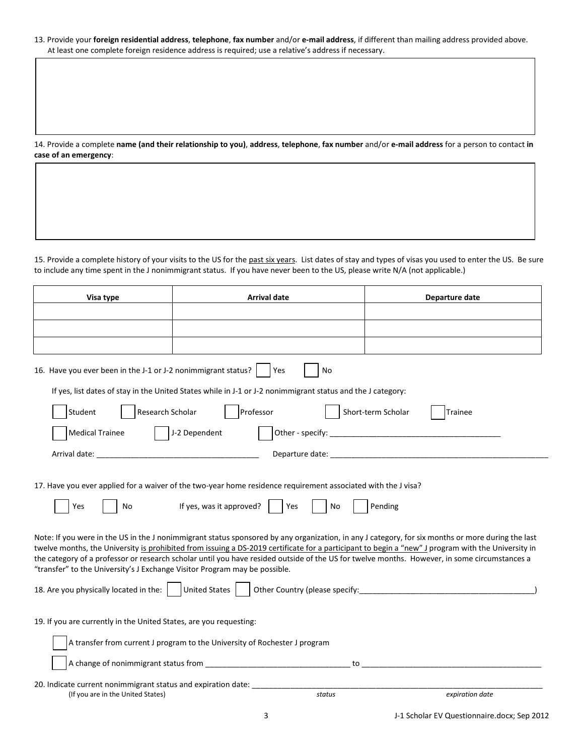#### 13. Provide your **foreign residential address**, **telephone**, **fax number** and/or **e-mail address**, if different than mailing address provided above. At least one complete foreign residence address is required; use a relative's address if necessary.

14. Provide a complete **name (and their relationship to you)**, **address**, **telephone**, **fax number** and/or **e-mail address** for a person to contact **in case of an emergency**:

15. Provide a complete history of your visits to the US for the past six years. List dates of stay and types of visas you used to enter the US. Be sure to include any time spent in the J nonimmigrant status. If you have never been to the US, please write N/A (not applicable.)

| Visa type                                                                                          | <b>Arrival date</b>                                                                                                                                                                                                                                                                                                                                                                                                                                               | Departure date                 |
|----------------------------------------------------------------------------------------------------|-------------------------------------------------------------------------------------------------------------------------------------------------------------------------------------------------------------------------------------------------------------------------------------------------------------------------------------------------------------------------------------------------------------------------------------------------------------------|--------------------------------|
|                                                                                                    |                                                                                                                                                                                                                                                                                                                                                                                                                                                                   |                                |
|                                                                                                    |                                                                                                                                                                                                                                                                                                                                                                                                                                                                   |                                |
|                                                                                                    |                                                                                                                                                                                                                                                                                                                                                                                                                                                                   |                                |
| 16. Have you ever been in the J-1 or J-2 nonimmigrant status?                                      | No<br>Yes                                                                                                                                                                                                                                                                                                                                                                                                                                                         |                                |
|                                                                                                    | If yes, list dates of stay in the United States while in J-1 or J-2 nonimmigrant status and the J category:                                                                                                                                                                                                                                                                                                                                                       |                                |
| Research Scholar<br>Student                                                                        | Professor                                                                                                                                                                                                                                                                                                                                                                                                                                                         | Short-term Scholar<br>Trainee  |
| <b>Medical Trainee</b>                                                                             | J-2 Dependent                                                                                                                                                                                                                                                                                                                                                                                                                                                     |                                |
| Arrival date: ____                                                                                 |                                                                                                                                                                                                                                                                                                                                                                                                                                                                   |                                |
| Yes<br>No                                                                                          | 17. Have you ever applied for a waiver of the two-year home residence requirement associated with the J visa?<br>If yes, was it approved?<br>Yes<br>No<br>Note: If you were in the US in the J nonimmigrant status sponsored by any organization, in any J category, for six months or more during the last<br>twelve months, the University is prohibited from issuing a DS-2019 certificate for a participant to begin a "new" J program with the University in | Pending                        |
| "transfer" to the University's J Exchange Visitor Program may be possible.                         | the category of a professor or research scholar until you have resided outside of the US for twelve months. However, in some circumstances a                                                                                                                                                                                                                                                                                                                      |                                |
| 18. Are you physically located in the:     United States                                           |                                                                                                                                                                                                                                                                                                                                                                                                                                                                   | Other Country (please specify: |
| 19. If you are currently in the United States, are you requesting:                                 |                                                                                                                                                                                                                                                                                                                                                                                                                                                                   |                                |
|                                                                                                    | A transfer from current J program to the University of Rochester J program                                                                                                                                                                                                                                                                                                                                                                                        |                                |
|                                                                                                    | to                                                                                                                                                                                                                                                                                                                                                                                                                                                                |                                |
| 20. Indicate current nonimmigrant status and expiration date:<br>(If you are in the United States) | status                                                                                                                                                                                                                                                                                                                                                                                                                                                            | expiration date                |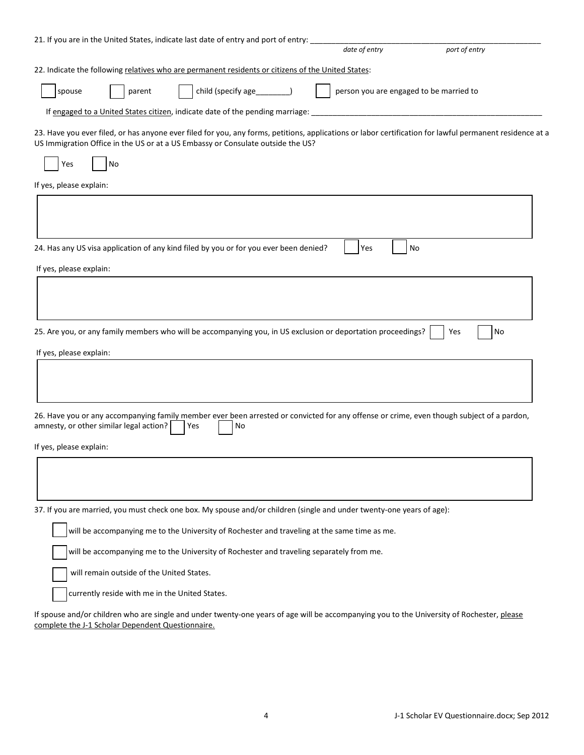|                                                   |                                                | 21. If you are in the United States, indicate last date of entry and port of entry:                | date of entry                                                                                                         | port of entry                                                                                                                                            |
|---------------------------------------------------|------------------------------------------------|----------------------------------------------------------------------------------------------------|-----------------------------------------------------------------------------------------------------------------------|----------------------------------------------------------------------------------------------------------------------------------------------------------|
|                                                   |                                                | 22. Indicate the following relatives who are permanent residents or citizens of the United States: |                                                                                                                       |                                                                                                                                                          |
|                                                   |                                                |                                                                                                    |                                                                                                                       |                                                                                                                                                          |
| spouse                                            | parent                                         | child (specify age_____                                                                            |                                                                                                                       | person you are engaged to be married to                                                                                                                  |
|                                                   |                                                | If engaged to a United States citizen, indicate date of the pending marriage:                      |                                                                                                                       |                                                                                                                                                          |
|                                                   |                                                | US Immigration Office in the US or at a US Embassy or Consulate outside the US?                    |                                                                                                                       | 23. Have you ever filed, or has anyone ever filed for you, any forms, petitions, applications or labor certification for lawful permanent residence at a |
| Yes                                               | No                                             |                                                                                                    |                                                                                                                       |                                                                                                                                                          |
| If yes, please explain:                           |                                                |                                                                                                    |                                                                                                                       |                                                                                                                                                          |
|                                                   |                                                |                                                                                                    |                                                                                                                       |                                                                                                                                                          |
|                                                   |                                                | 24. Has any US visa application of any kind filed by you or for you ever been denied?              | Yes                                                                                                                   | No                                                                                                                                                       |
| If yes, please explain:                           |                                                |                                                                                                    |                                                                                                                       |                                                                                                                                                          |
|                                                   |                                                |                                                                                                    | 25. Are you, or any family members who will be accompanying you, in US exclusion or deportation proceedings?          | No<br>Yes                                                                                                                                                |
| If yes, please explain:                           |                                                |                                                                                                    |                                                                                                                       |                                                                                                                                                          |
|                                                   |                                                |                                                                                                    |                                                                                                                       | 26. Have you or any accompanying family member ever been arrested or convicted for any offense or crime, even though subject of a pardon,                |
| amnesty, or other similar legal action?           |                                                | Yes<br>No                                                                                          |                                                                                                                       |                                                                                                                                                          |
| If yes, please explain:                           |                                                |                                                                                                    |                                                                                                                       |                                                                                                                                                          |
|                                                   |                                                |                                                                                                    |                                                                                                                       |                                                                                                                                                          |
|                                                   |                                                |                                                                                                    | 37. If you are married, you must check one box. My spouse and/or children (single and under twenty-one years of age): |                                                                                                                                                          |
|                                                   |                                                |                                                                                                    | will be accompanying me to the University of Rochester and traveling at the same time as me.                          |                                                                                                                                                          |
|                                                   |                                                | will be accompanying me to the University of Rochester and traveling separately from me.           |                                                                                                                       |                                                                                                                                                          |
|                                                   | will remain outside of the United States.      |                                                                                                    |                                                                                                                       |                                                                                                                                                          |
|                                                   | currently reside with me in the United States. |                                                                                                    |                                                                                                                       |                                                                                                                                                          |
| complete the J-1 Scholar Dependent Questionnaire. |                                                |                                                                                                    |                                                                                                                       | If spouse and/or children who are single and under twenty-one years of age will be accompanying you to the University of Rochester, please               |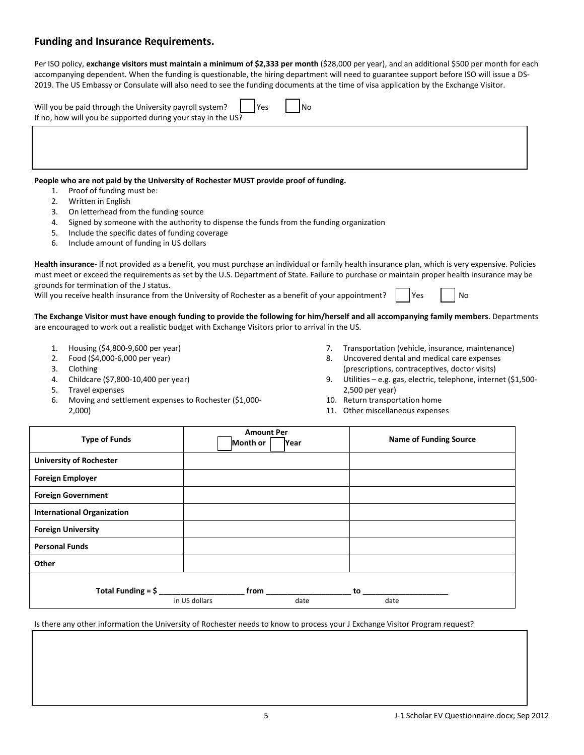### **Funding and Insurance Requirements.**

Per ISO policy, exchange visitors must maintain a minimum of \$2,333 per month (\$28,000 per year), and an additional \$500 per month for each accompanying dependent. When the funding is questionable, the hiring department will need to guarantee support before ISO will issue a DS-2019. The US Embassy or Consulate will also need to see the funding documents at the time of visa application by the Exchange Visitor.

| Will you be paid through the University payroll system? $\vert$   Yes<br>If no, how will you be supported during your stay in the US? | 1No |  |  |
|---------------------------------------------------------------------------------------------------------------------------------------|-----|--|--|
|                                                                                                                                       |     |  |  |

#### **People who are not paid by the University of Rochester MUST provide proof of funding.**

- 1. Proof of funding must be:
- 2. Written in English
- 3. On letterhead from the funding source
- 4. Signed by someone with the authority to dispense the funds from the funding organization
- 5. Include the specific dates of funding coverage
- 6. Include amount of funding in US dollars

**Health insurance-** If not provided as a benefit, you must purchase an individual or family health insurance plan, which is very expensive. Policies must meet or exceed the requirements as set by the U.S. Department of State. Failure to purchase or maintain proper health insurance may be grounds for termination of the J status.

Will you receive health insurance from the University of Rochester as a benefit of your appointment?  $\vert$  Yes  $\vert$  No

#### **The Exchange Visitor must have enough funding to provide the following for him/herself and all accompanying family members**. Departments are encouraged to work out a realistic budget with Exchange Visitors prior to arrival in the US.

- 1. Housing (\$4,800-9,600 per year)
- 2. Food (\$4,000-6,000 per year)
- 3. Clothing
- 4. Childcare (\$7,800-10,400 per year)
- 5. Travel expenses
- 6. Moving and settlement expenses to Rochester (\$1,000- 2,000)
- 7. Transportation (vehicle, insurance, maintenance)
- 8. Uncovered dental and medical care expenses (prescriptions, contraceptives, doctor visits)
- 9. Utilities e.g. gas, electric, telephone, internet (\$1,500- 2,500 per year)
- 10. Return transportation home
- 11. Other miscellaneous expenses

| <b>Type of Funds</b>              | <b>Amount Per</b><br>Month or | Year | <b>Name of Funding Source</b> |  |
|-----------------------------------|-------------------------------|------|-------------------------------|--|
| <b>University of Rochester</b>    |                               |      |                               |  |
| <b>Foreign Employer</b>           |                               |      |                               |  |
| <b>Foreign Government</b>         |                               |      |                               |  |
| <b>International Organization</b> |                               |      |                               |  |
| <b>Foreign University</b>         |                               |      |                               |  |
| <b>Personal Funds</b>             |                               |      |                               |  |
| Other                             |                               |      |                               |  |
| Total Funding = $$$ $\_\$         | from<br>in US dollars         | date | to to<br>date                 |  |

Is there any other information the University of Rochester needs to know to process your J Exchange Visitor Program request?